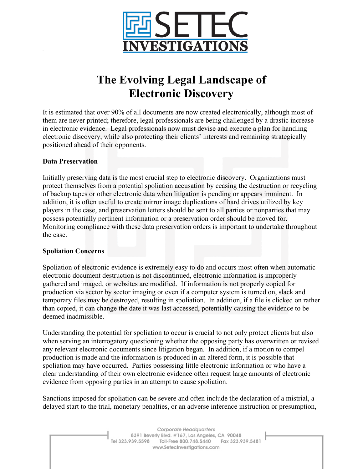

# **The Evolving Legal Landscape of Electronic Discovery**

It is estimated that over 90% of all documents are now created electronically, although most of them are never printed; therefore, legal professionals are being challenged by a drastic increase in electronic evidence. Legal professionals now must devise and execute a plan for handling electronic discovery, while also protecting their clients' interests and remaining strategically positioned ahead of their opponents.

#### **Data Preservation**

Initially preserving data is the most crucial step to electronic discovery. Organizations must protect themselves from a potential spoliation accusation by ceasing the destruction or recycling of backup tapes or other electronic data when litigation is pending or appears imminent. In addition, it is often useful to create mirror image duplications of hard drives utilized by key players in the case, and preservation letters should be sent to all parties or nonparties that may possess potentially pertinent information or a preservation order should be moved for. Monitoring compliance with these data preservation orders is important to undertake throughout the case.

#### **Spoliation Concerns**

Spoliation of electronic evidence is extremely easy to do and occurs most often when automatic electronic document destruction is not discontinued, electronic information is improperly gathered and imaged, or websites are modified. If information is not properly copied for production via sector by sector imaging or even if a computer system is turned on, slack and temporary files may be destroyed, resulting in spoliation. In addition, if a file is clicked on rather than copied, it can change the date it was last accessed, potentially causing the evidence to be deemed inadmissible.

Understanding the potential for spoliation to occur is crucial to not only protect clients but also when serving an interrogatory questioning whether the opposing party has overwritten or revised any relevant electronic documents since litigation began. In addition, if a motion to compel production is made and the information is produced in an altered form, it is possible that spoliation may have occurred. Parties possessing little electronic information or who have a clear understanding of their own electronic evidence often request large amounts of electronic evidence from opposing parties in an attempt to cause spoliation.

Sanctions imposed for spoliation can be severe and often include the declaration of a mistrial, a delayed start to the trial, monetary penalties, or an adverse inference instruction or presumption,

> Corporate Headquarters 8391 Beverly Blvd. #167, Los Angeles, CA 90048 Tel 323.939.5598 Toll-Free 800.748.5440 Fax 323.939.5481 www.SetecInvestigations.com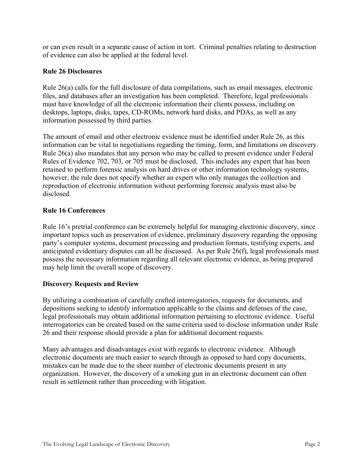or can even result in a separate cause of action in tort. Criminal penalties relating to destruction of evidence can also be applied at the federal level.

## **Rule 26 Disclosures**

Rule 26(a) calls for the full disclosure of data compilations, such as email messages, electronic files, and databases after an investigation has been completed. Therefore, legal professionals must have knowledge of all the electronic information their clients possess, including on desktops, laptops, disks, tapes, CD-ROMs, network hard disks, and PDAs, as well as any information possessed by third parties.

The amount of email and other electronic evidence must be identified under Rule 26, as this information can be vital to negotiations regarding the timing, form, and limitations on discovery. Rule 26(a) also mandates that any person who may be called to present evidence under Federal Rules of Evidence 702, 703, or 705 must be disclosed. This includes any expert that has been retained to perform forensic analysis on hard drives or other information technology systems, however, the rule does not specify whether an expert who only manages the collection and reproduction of electronic information without performing forensic analysis must also be disclosed.

#### **Rule 16 Conferences**

Rule 16's pretrial conference can be extremely helpful for managing electronic discovery, since important topics such as preservation of evidence, preliminary discovery regarding the opposing party's computer systems, document processing and production formats, testifying experts, and anticipated evidentiary disputes can all be discussed. As per Rule 26(f), legal professionals must possess the necessary information regarding all relevant electronic evidence, as being prepared may help limit the overall scope of discovery.

# **Discovery Requests and Review**

By utilizing a combination of carefully crafted interrogatories, requests for documents, and depositions seeking to identify information applicable to the claims and defenses of the case, legal professionals may obtain additional information pertaining to electronic evidence. Useful interrogatories can be created based on the same criteria used to disclose information under Rule 26 and their response should provide a plan for additional document requests.

Many advantages and disadvantages exist with regards to electronic evidence. Although electronic documents are much easier to search through as opposed to hard copy documents, mistakes can be made due to the sheer number of electronic documents present in any organization. However, the discovery of a smoking gun in an electronic document can often result in settlement rather than proceeding with litigation.